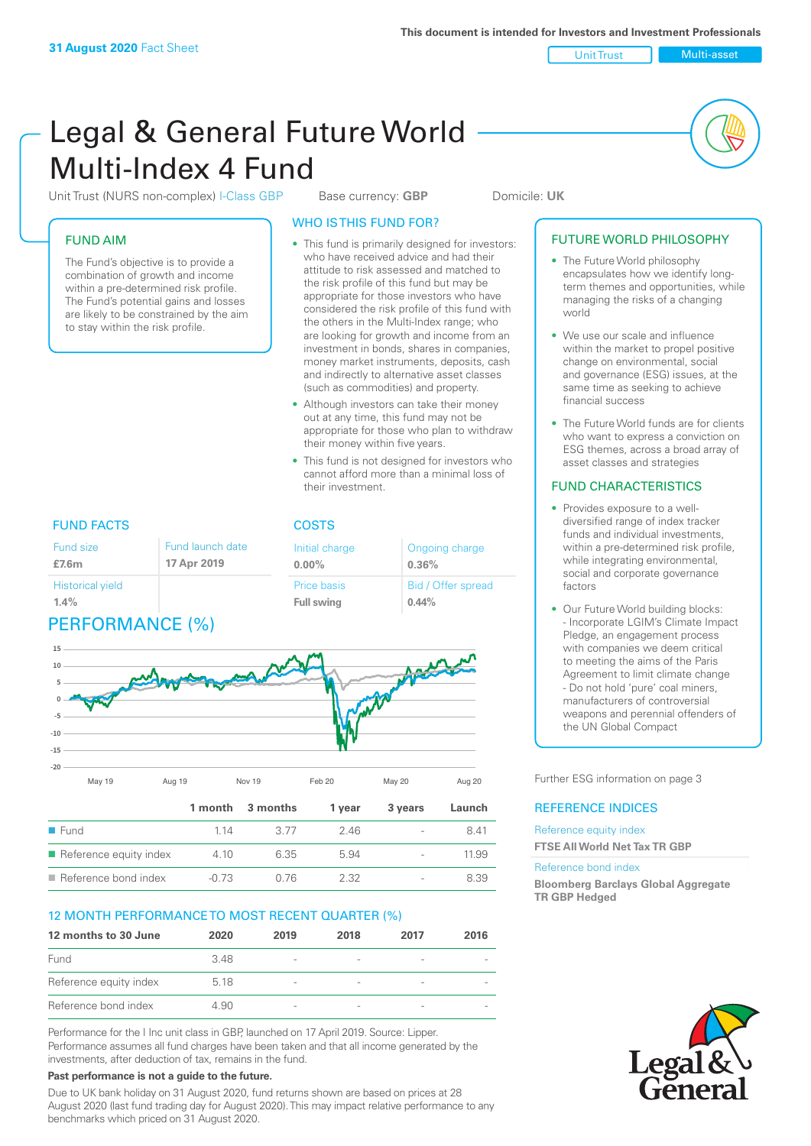Unit Trust (NURS non-complex) I-Class GBP Base currency: **GBP** Domicile: UK

# FUND AIM

The Fund's objective is to provide a combination of growth and income within a pre-determined risk profile. The Fund's potential gains and losses are likely to be constrained by the aim to stay within the risk profile.

# WHO IS THIS FUND FOR?

- This fund is primarily designed for investors: who have received advice and had their attitude to risk assessed and matched to the risk profile of this fund but may be appropriate for those investors who have considered the risk profile of this fund with the others in the Multi-Index range; who are looking for growth and income from an investment in bonds, shares in companies, money market instruments, deposits, cash and indirectly to alternative asset classes (such as commodities) and property.
- Although investors can take their money out at any time, this fund may not be appropriate for those who plan to withdraw their money within five years.
- This fund is not designed for investors who cannot afford more than a minimal loss of their investment.

Ongoing charge

Bid / Offer spread

**0.36%**

**0.44%**

#### FUND FACTS COSTS Fund size **£7.6m** Historical yield **1.4%** Fund launch date **17 Apr 2019**

# PERFORMANCE (%)



Initial charge **0.00%**

Price basis **Full swing**

|                     | May 19                                | Aug 19  | Nov 19   | Feb 20 | May 20                   | Aug 20 |
|---------------------|---------------------------------------|---------|----------|--------|--------------------------|--------|
|                     |                                       | 1 month | 3 months | 1 year | 3 years                  | Launch |
| $\blacksquare$ Fund |                                       | 1 14    | 3.77     | 2.46   | $\overline{\phantom{a}}$ | 8.41   |
|                     | $\blacksquare$ Reference equity index | 4.10    | 6.35     | 5.94   | $\overline{\phantom{a}}$ | 11.99  |
|                     | $\blacksquare$ Reference bond index   | $-0.73$ | 0.76     | 2.32   | $\overline{\phantom{a}}$ | 8.39   |

# 12 MONTH PERFORMANCE TO MOST RECENT QUARTER (%)

| 12 months to 30 June   | 2020 | 2019                     | 2018 | 2017                     | 2016 |
|------------------------|------|--------------------------|------|--------------------------|------|
| Fund                   | 348  | $\overline{\phantom{a}}$ |      |                          |      |
| Reference equity index | 5.18 | $\overline{\phantom{a}}$ |      | $\overline{\phantom{a}}$ |      |
| Reference bond index   | 4.90 | $\overline{\phantom{a}}$ |      | $\sim$                   |      |

Performance for the I Inc unit class in GBP, launched on 17 April 2019. Source: Lipper. Performance assumes all fund charges have been taken and that all income generated by the investments, after deduction of tax, remains in the fund.

#### **Past performance is not a guide to the future.**

Due to UK bank holiday on 31 August 2020, fund returns shown are based on prices at 28 August 2020 (last fund trading day for August 2020). This may impact relative performance to any benchmarks which priced on 31 August 2020.

# FUTURE WORLD PHILOSOPHY

- The Future World philosophy encapsulates how we identify longterm themes and opportunities, while managing the risks of a changing world
- We use our scale and influence within the market to propel positive change on environmental, social and governance (ESG) issues, at the same time as seeking to achieve financial success
- The Future World funds are for clients who want to express a conviction on ESG themes, across a broad array of asset classes and strategies

# FUND CHARACTERISTICS

- Provides exposure to a welldiversified range of index tracker funds and individual investments, within a pre-determined risk profile. while integrating environmental, social and corporate governance factors
- Our Future World building blocks: - Incorporate LGIM's Climate Impact Pledge, an engagement process with companies we deem critical to meeting the aims of the Paris Agreement to limit climate change - Do not hold 'pure' coal miners, manufacturers of controversial weapons and perennial offenders of the UN Global Compact

Further ESG information on page 3

# REFERENCE INDICES

Reference equity index **FTSE All World Net Tax TR GBP**

#### Reference bond index

**Bloomberg Barclays Global Aggregate TR GBP Hedged**

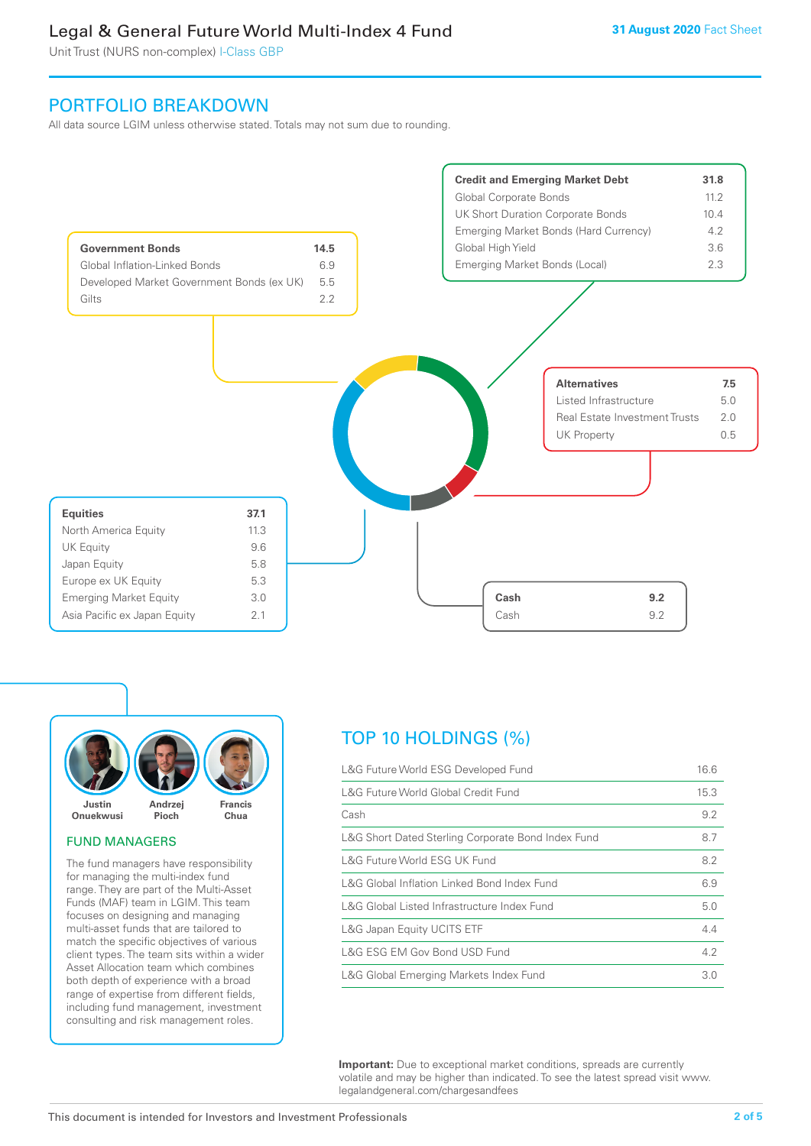Unit Trust (NURS non-complex) I-Class GBP

# PORTFOLIO BREAKDOWN

All data source LGIM unless otherwise stated. Totals may not sum due to rounding.





#### FUND MANAGERS

The fund managers have responsibility for managing the multi-index fund range. They are part of the Multi-Asset Funds (MAF) team in LGIM. This team focuses on designing and managing multi-asset funds that are tailored to match the specific objectives of various client types. The team sits within a wider Asset Allocation team which combines both depth of experience with a broad range of expertise from different fields, including fund management, investment consulting and risk management roles.

# TOP 10 HOLDINGS (%)

| L&G Future World ESG Developed Fund                |      |  |
|----------------------------------------------------|------|--|
| L&G Future World Global Credit Fund                | 15.3 |  |
| Cash                                               | 9.2  |  |
| L&G Short Dated Sterling Corporate Bond Index Fund | 8.7  |  |
| L&G Future World ESG UK Fund                       | 8.2  |  |
| L&G Global Inflation Linked Bond Index Fund        | 6.9  |  |
| L&G Global Listed Infrastructure Index Fund        | 5.0  |  |
| L&G Japan Equity UCITS ETF                         | 4.4  |  |
| L&G ESG EM Gov Bond USD Fund                       | 4.2  |  |
| L&G Global Emerging Markets Index Fund             | 3.0  |  |

**Important:** Due to exceptional market conditions, spreads are currently volatile and may be higher than indicated. To see the latest spread visit www. legalandgeneral.com/chargesandfees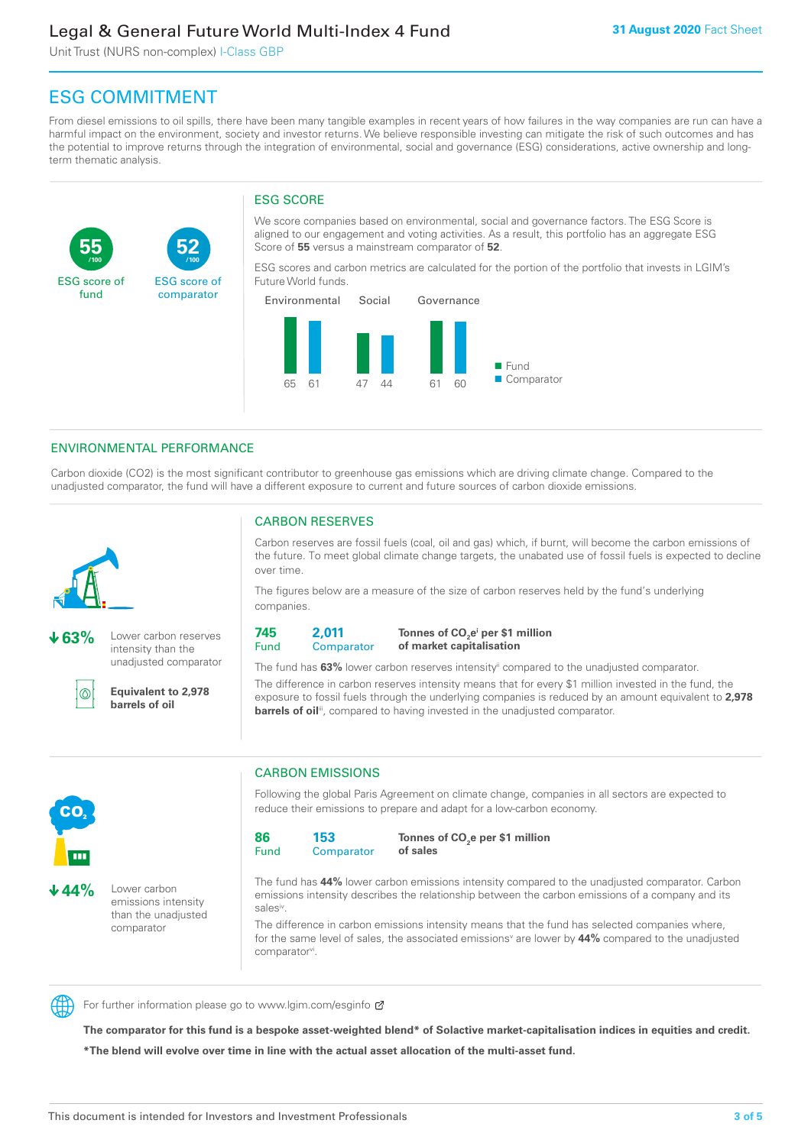Unit Trust (NURS non-complex) I-Class GBP

**52**

ESG score of comparator

# ESG COMMITMENT

**/100 /100**

From diesel emissions to oil spills, there have been many tangible examples in recent years of how failures in the way companies are run can have a harmful impact on the environment, society and investor returns. We believe responsible investing can mitigate the risk of such outcomes and has the potential to improve returns through the integration of environmental, social and governance (ESG) considerations, active ownership and longterm thematic analysis.

# ESG SCORE

We score companies based on environmental, social and governance factors. The ESG Score is aligned to our engagement and voting activities. As a result, this portfolio has an aggregate ESG Score of **55** versus a mainstream comparator of **52**.

ESG scores and carbon metrics are calculated for the portion of the portfolio that invests in LGIM's Future World funds.



# ENVIRONMENTAL PERFORMANCE

Carbon dioxide (CO2) is the most significant contributor to greenhouse gas emissions which are driving climate change. Compared to the unadjusted comparator, the fund will have a different exposure to current and future sources of carbon dioxide emissions.



**55**

ESG score of fund

**63%** Lower carbon reserves intensity than the unadjusted comparator

൹

**Equivalent to 2,978 barrels of oil**

# CARBON RESERVES

Carbon reserves are fossil fuels (coal, oil and gas) which, if burnt, will become the carbon emissions of the future. To meet global climate change targets, the unabated use of fossil fuels is expected to decline over time.

The figures below are a measure of the size of carbon reserves held by the fund's underlying companies.

**745** Fund **2,011 Comparator** 

**Tonnes of CO2 ei per \$1 million of market capitalisation**

The fund has **63%** lower carbon reserves intensityii compared to the unadjusted comparator. The difference in carbon reserves intensity means that for every \$1 million invested in the fund, the exposure to fossil fuels through the underlying companies is reduced by an amount equivalent to **2,978 barrels of oil**<sup>iii</sup>, compared to having invested in the unadjusted comparator.



**44%** Lower carbon emissions intensity than the unadjusted comparator

# CARBON EMISSIONS

Following the global Paris Agreement on climate change, companies in all sectors are expected to reduce their emissions to prepare and adapt for a low-carbon economy.

**86** Fund **153 Comparator** 

**Tonnes of CO2 e per \$1 million of sales**

The fund has **44%** lower carbon emissions intensity compared to the unadjusted comparator. Carbon emissions intensity describes the relationship between the carbon emissions of a company and its salesiv

The difference in carbon emissions intensity means that the fund has selected companies where, for the same level of sales, the associated emissions<sup>v</sup> are lower by 44% compared to the unadjusted comparator<sup>vi</sup>.



For further information please go to www.lgim.com/esginfo Ø

**The comparator for this fund is a bespoke asset-weighted blend\* of Solactive market-capitalisation indices in equities and credit. \*The blend will evolve over time in line with the actual asset allocation of the multi-asset fund.**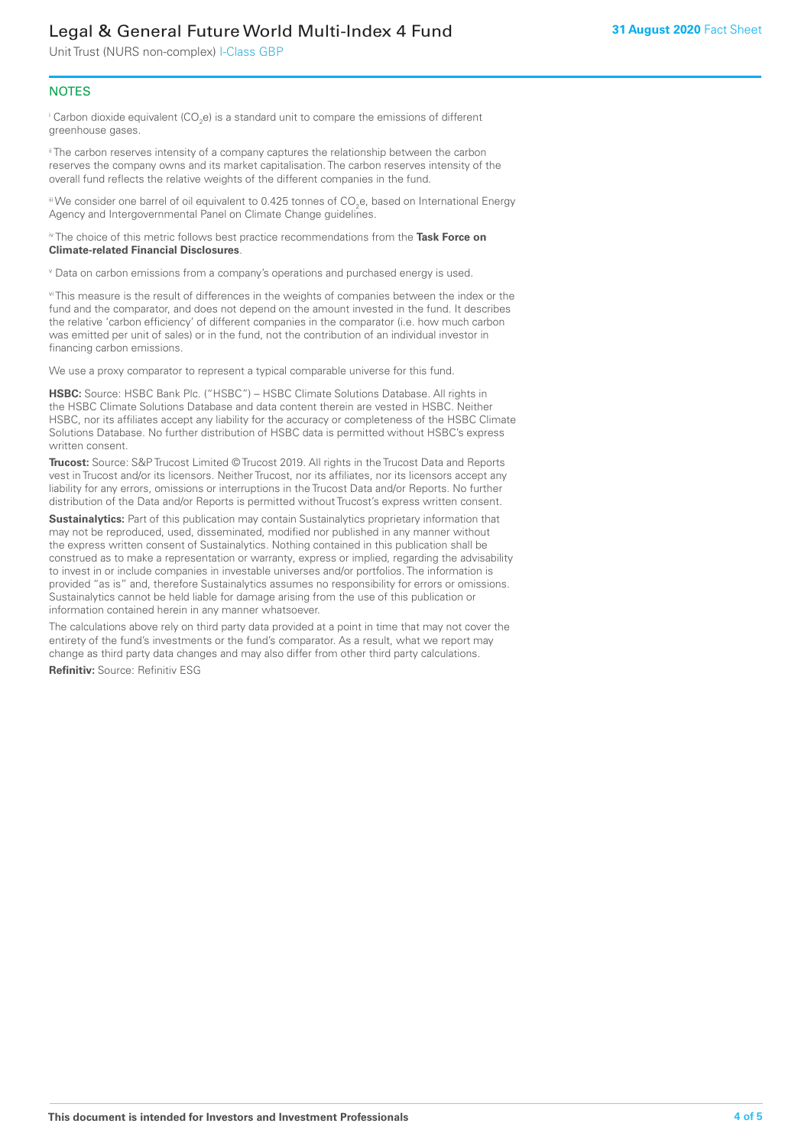Unit Trust (NURS non-complex) I-Class GBP

# **NOTES**

 $^\mathrm{i}$  Carbon dioxide equivalent (CO<sub>2</sub>e) is a standard unit to compare the emissions of different greenhouse gases.

<sup>ii</sup> The carbon reserves intensity of a company captures the relationship between the carbon reserves the company owns and its market capitalisation. The carbon reserves intensity of the overall fund reflects the relative weights of the different companies in the fund.

iii We consider one barrel of oil equivalent to 0.425 tonnes of CO<sub>2</sub>e, based on International Energy Agency and Intergovernmental Panel on Climate Change guidelines.

#### iv The choice of this metric follows best practice recommendations from the **Task Force on Climate-related Financial Disclosures**.

v Data on carbon emissions from a company's operations and purchased energy is used.

vi This measure is the result of differences in the weights of companies between the index or the fund and the comparator, and does not depend on the amount invested in the fund. It describes the relative 'carbon efficiency' of different companies in the comparator (i.e. how much carbon was emitted per unit of sales) or in the fund, not the contribution of an individual investor in financing carbon emissions.

We use a proxy comparator to represent a typical comparable universe for this fund.

**HSBC:** Source: HSBC Bank Plc. ("HSBC") – HSBC Climate Solutions Database. All rights in the HSBC Climate Solutions Database and data content therein are vested in HSBC. Neither HSBC, nor its affiliates accept any liability for the accuracy or completeness of the HSBC Climate Solutions Database. No further distribution of HSBC data is permitted without HSBC's express written consent.

**Trucost:** Source: S&P Trucost Limited © Trucost 2019. All rights in the Trucost Data and Reports vest in Trucost and/or its licensors. Neither Trucost, nor its affiliates, nor its licensors accept any liability for any errors, omissions or interruptions in the Trucost Data and/or Reports. No further distribution of the Data and/or Reports is permitted without Trucost's express written consent.

**Sustainalytics:** Part of this publication may contain Sustainalytics proprietary information that may not be reproduced, used, disseminated, modified nor published in any manner without the express written consent of Sustainalytics. Nothing contained in this publication shall be construed as to make a representation or warranty, express or implied, regarding the advisability to invest in or include companies in investable universes and/or portfolios. The information is provided "as is" and, therefore Sustainalytics assumes no responsibility for errors or omissions. Sustainalytics cannot be held liable for damage arising from the use of this publication or information contained herein in any manner whatsoever.

The calculations above rely on third party data provided at a point in time that may not cover the entirety of the fund's investments or the fund's comparator. As a result, what we report may change as third party data changes and may also differ from other third party calculations.

**Refinitiv:** Source: Refinitiv ESG